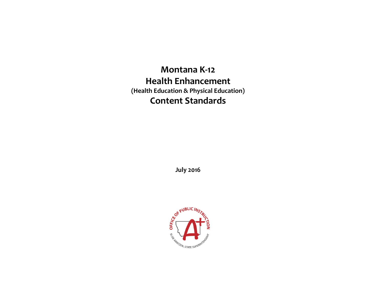# **Montana K-12 Health Enhancement (Health Education & Physical Education) Content Standards**

**July 2016**

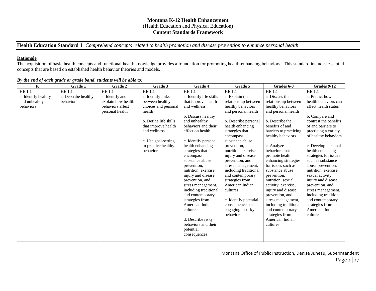### **Montana K-12 Health Enhancement**  (Health Education and Physical Education) **Content Standards Framework**

**Health Education Standard 1** *Comprehend concepts related to health promotion and disease prevention to enhance personal health*

#### **Rationale**

The acquisition of basic health concepts and functional health knowledge provides a foundation for promoting health-enhancing behaviors. This standard includes essential concepts that are based on established health behavior theories and models.

| $\mathbf K$         | Grade 1             | Grade 2            | Grade 3               | Grade 4                                     | Grade 5                            | Grades 6-8                                | Grades 9-12                                 |
|---------------------|---------------------|--------------------|-----------------------|---------------------------------------------|------------------------------------|-------------------------------------------|---------------------------------------------|
| <b>HE 1.1</b>       | HE 1.1              | <b>HE 1.1</b>      | <b>HE 1.1</b>         | HE 1.1                                      | HE 1.1                             | <b>HE 1.1</b>                             | <b>HE 1.1</b>                               |
| a. Identify healthy | a. Describe healthy | a. Identify and    | a. Identify links     | a. Identify life skills                     | a. Explain the                     | a. Discuss the                            | a. Predict how                              |
| and unhealthy       | behaviors           | explain how health | between healthy       | that improve health                         | relationship between               | relationship between                      | health behaviors can                        |
| behaviors           |                     | behaviors affect   | choices and personal  | and wellness                                | healthy behaviors                  | healthy behaviors                         | affect health status                        |
|                     |                     | personal health    | health                |                                             | and personal health                | and personal health                       |                                             |
|                     |                     |                    |                       | b. Discuss healthy                          |                                    |                                           | b. Compare and                              |
|                     |                     |                    | b. Define life skills | and unhealthy                               | b. Describe personal               | b. Describe the                           | contrast the benefits                       |
|                     |                     |                    | that improve health   | behaviors and their                         | health enhancing                   | benefits of and                           | of and barriers to                          |
|                     |                     |                    | and wellness          | effect on health                            | strategies that                    | barriers to practicing                    | practicing a variety                        |
|                     |                     |                    |                       |                                             | encompass                          | healthy behaviors                         | of healthy behaviors                        |
|                     |                     |                    | c. Use goal-setting   | c. Identify personal                        | substance abuse                    |                                           |                                             |
|                     |                     |                    | to practice healthy   | health enhancing                            | prevention,                        | c. Analyze                                | c. Develop personal                         |
|                     |                     |                    | behaviors             | strategies that                             | nutrition, exercise,               | behaviors that                            | health enhancing                            |
|                     |                     |                    |                       | encompass                                   | injury and disease                 | promote health                            | strategies for issues                       |
|                     |                     |                    |                       | substance abuse                             | prevention, and                    | enhancing strategies                      | such as substance                           |
|                     |                     |                    |                       | prevention,                                 | stress management,                 | for issues such as                        | abuse prevention,                           |
|                     |                     |                    |                       | nutrition, exercise,                        | including traditional              | substance abuse                           | nutrition, exercise,                        |
|                     |                     |                    |                       | injury and disease                          | and contemporary                   | prevention,                               | sexual activity.                            |
|                     |                     |                    |                       | prevention, and                             | strategies from<br>American Indian | nutrition, sexual                         | injury and disease                          |
|                     |                     |                    |                       | stress management,<br>including traditional | cultures                           | activity, exercise,<br>injury and disease | prevention, and                             |
|                     |                     |                    |                       |                                             |                                    | prevention, and                           | stress management,<br>including traditional |
|                     |                     |                    |                       | and contemporary<br>strategies from         | c. Identify potential              | stress management,                        | and contemporary                            |
|                     |                     |                    |                       | American Indian                             | consequences of                    | including traditional                     | strategies from                             |
|                     |                     |                    |                       | cultures                                    | engaging in risky                  | and contemporary                          | American Indian                             |
|                     |                     |                    |                       |                                             | behaviors                          | strategies from                           | cultures                                    |
|                     |                     |                    |                       | d. Describe risky                           |                                    | American Indian                           |                                             |
|                     |                     |                    |                       | behaviors and their                         |                                    | cultures                                  |                                             |
|                     |                     |                    |                       | potential                                   |                                    |                                           |                                             |
|                     |                     |                    |                       | consequences                                |                                    |                                           |                                             |
|                     |                     |                    |                       |                                             |                                    |                                           |                                             |

*By the end of each grade or grade band, students will be able to:*

Montana Office of Public Instruction, Denise Juneau, Superintendent Page 2 | 27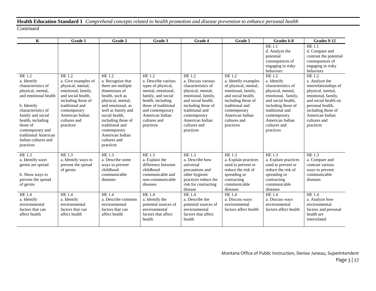# **Health Education Standard 1** *Comprehend concepts related to health promotion and disease prevention to enhance personal health*

| $\mathbf K$                                                                                                                                                                                                                                                         | Grade 1                                                                                                                                                                                                 | Grade 2                                                                                                                                                                                                                                                                          | Grade 3                                                                                                                                                                                                                | Grade 4                                                                                                                                                                                                                      | Grade 5                                                                                                                                                                                                     | Grades 6-8                                                                                                                                                                                                            | Grades 9-12                                                                                                                                                                                                    |
|---------------------------------------------------------------------------------------------------------------------------------------------------------------------------------------------------------------------------------------------------------------------|---------------------------------------------------------------------------------------------------------------------------------------------------------------------------------------------------------|----------------------------------------------------------------------------------------------------------------------------------------------------------------------------------------------------------------------------------------------------------------------------------|------------------------------------------------------------------------------------------------------------------------------------------------------------------------------------------------------------------------|------------------------------------------------------------------------------------------------------------------------------------------------------------------------------------------------------------------------------|-------------------------------------------------------------------------------------------------------------------------------------------------------------------------------------------------------------|-----------------------------------------------------------------------------------------------------------------------------------------------------------------------------------------------------------------------|----------------------------------------------------------------------------------------------------------------------------------------------------------------------------------------------------------------|
|                                                                                                                                                                                                                                                                     |                                                                                                                                                                                                         |                                                                                                                                                                                                                                                                                  |                                                                                                                                                                                                                        |                                                                                                                                                                                                                              |                                                                                                                                                                                                             | HE 1.1<br>d. Analyze the<br>potential<br>consequences of<br>engaging in risky<br>behaviors                                                                                                                            | <b>HE 1.1</b><br>d. Compare and<br>contrast the potential<br>consequences of<br>engaging in risky<br>behaviors                                                                                                 |
| HE 1.2<br>a. Identify<br>characteristics of<br>physical, mental,<br>and emotional health<br>b. Identify<br>characteristics of<br>family and social<br>health, including<br>those of<br>contemporary and<br>traditional American<br>Indian cultures and<br>practices | HE 1.2<br>a. Give examples of<br>physical, mental,<br>emotional, family,<br>and social health,<br>including those of<br>traditional and<br>contemporary<br>American Indian<br>cultures and<br>practices | HE 1.2<br>a. Recognize that<br>there are multiple<br>dimensions of<br>health, such as<br>physical, mental,<br>and emotional, as<br>well as family and<br>social health,<br>including those of<br>traditional and<br>contemporary<br>American Indian<br>cultures and<br>practices | <b>HE1.2</b><br>a. Describe various<br>types of physical,<br>mental, emotional,<br>family, and social<br>health, including<br>those of traditional<br>and contemporary<br>American Indian<br>cultures and<br>practices | HE 1.2<br>a. Discuss various<br>characteristics of<br>physical, mental,<br>emotional, family,<br>and social health.<br>including those of<br>traditional and<br>contemporary<br>American Indian<br>cultures and<br>practices | HE 1.2<br>a. Identify examples<br>of physical, mental,<br>emotional, family,<br>and social health,<br>including those of<br>traditional and<br>contemporary<br>American Indian<br>cultures and<br>practices | HE 1.2<br>a. Identify<br>characteristics of<br>physical, mental,<br>emotional, family,<br>and social health,<br>including those of<br>traditional and<br>contemporary<br>American Indian<br>cultures and<br>practices | HE 1.2<br>a. Analyze the<br>interrelationships of<br>physical, mental,<br>emotional, family,<br>and social health on<br>personal health,<br>including those of<br>American Indian<br>cultures and<br>practices |
| HE 1.3<br>a. Identify ways<br>germs are spread<br>b. Show ways to<br>prevent the spread<br>of germs                                                                                                                                                                 | HE 1.3<br>a. Identify ways to<br>prevent the spread<br>of germs                                                                                                                                         | HE 1.3<br>a. Describe some<br>ways to prevent<br>childhood<br>communicable<br>diseases                                                                                                                                                                                           | HE 1.3<br>a. Explain the<br>difference between<br>childhood<br>communicable and<br>non-communicable<br>diseases                                                                                                        | <b>HE 1.3</b><br>a. Describe how<br>universal<br>precautions and<br>other hygienic<br>practices reduce the<br>risk for contracting<br>disease                                                                                | HE 1.3<br>a. Explain practices<br>used to prevent or<br>reduce the risk of<br>spreading or<br>contracting<br>communicable<br>diseases                                                                       | $HE$ <sub>1.3</sub><br>a. Explain practices<br>used to prevent or<br>reduce the risk of<br>spreading or<br>contracting<br>communicable<br>diseases                                                                    | HE 1.3<br>a. Compare and<br>contrast various<br>ways to prevent<br>communicable<br>diseases                                                                                                                    |
| <b>HE 1.4</b><br>a. Identify<br>environmental<br>factors that can<br>affect health                                                                                                                                                                                  | <b>HE1.4</b><br>a. Identify<br>environmental<br>factors that can<br>affect health                                                                                                                       | HE 1.4<br>a. Describe common<br>environmental<br>factors that can<br>affect health                                                                                                                                                                                               | <b>HE1.4</b><br>a. Identify the<br>potential sources of<br>environmental<br>factors that affect<br>health                                                                                                              | <b>HE1.4</b><br>a. Describe the<br>potential sources of<br>environmental<br>factors that affect<br>health                                                                                                                    | <b>HE1.4</b><br>a. Discuss ways<br>environmental<br>factors affect health                                                                                                                                   | HE 1.4<br>a. Discuss ways<br>environmental<br>factors affect health                                                                                                                                                   | <b>HE1.4</b><br>a. Analyze how<br>environmental<br>factors and personal<br>health are<br>interrelated                                                                                                          |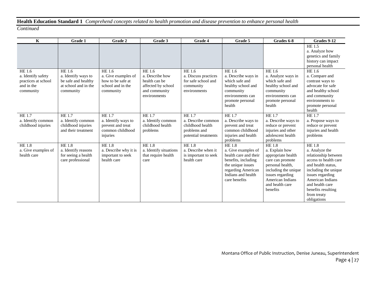# **Health Education Standard 1** *Comprehend concepts related to health promotion and disease prevention to enhance personal health*

| $\mathbf{K}$                             | Grade 1                                     | Grade 2                                  | Grade 3                                | Grade 4                                | Grade 5                                  | Grades 6-8                               | Grades 9-12                                                                              |
|------------------------------------------|---------------------------------------------|------------------------------------------|----------------------------------------|----------------------------------------|------------------------------------------|------------------------------------------|------------------------------------------------------------------------------------------|
|                                          |                                             |                                          |                                        |                                        |                                          |                                          | HE 1.5<br>a. Analyze how<br>genetics and family<br>history can impact<br>personal health |
| HE 1.6                                   | <b>HE 1.6</b>                               | <b>HE 1.6</b>                            | <b>HE 1.6</b>                          | HE 1.6                                 | HE 1.6                                   | HE 1.6                                   | HE 1.6                                                                                   |
| a. Identify safety                       | a. Identify ways to                         | a. Give examples of                      | a. Describe how                        | a. Discuss practices                   | a. Describe ways in                      | a. Analyze ways in                       | a. Compare and                                                                           |
| practices at school<br>and in the        | be safe and healthy<br>at school and in the | how to be safe at<br>school and in the   | health can be                          | for safe school and                    | which safe and                           | which safe and                           | contrast ways to<br>advocate for safe                                                    |
| community                                | community                                   | community                                | affected by school<br>and community    | community<br>environments              | healthy school and<br>community          | healthy school and<br>community          | and healthy school                                                                       |
|                                          |                                             |                                          | environments                           |                                        | environments can                         | environments can                         | and community                                                                            |
|                                          |                                             |                                          |                                        |                                        | promote personal                         | promote personal                         | environments to                                                                          |
|                                          |                                             |                                          |                                        |                                        | health                                   | health                                   | promote personal                                                                         |
|                                          |                                             |                                          |                                        |                                        |                                          |                                          | health                                                                                   |
| HE 1.7                                   | <b>HE 1.7</b>                               | <b>HE 1.7</b>                            | <b>HE1.7</b>                           | HE1.7                                  | HE 1.7                                   | HE 1.7                                   | HE1.7                                                                                    |
| a. Identify common<br>childhood injuries | a. Identify common<br>childhood injuries    | a. Identify ways to<br>prevent and treat | a. Identify common<br>childhood health | a. Describe common<br>childhood health | a. Describe ways to<br>prevent and treat | a. Describe ways to<br>reduce or prevent | a. Propose ways to<br>reduce or prevent                                                  |
|                                          | and their treatment                         | common childhood                         | problems                               | problems and                           | common childhood                         | injuries and other                       | injuries and health                                                                      |
|                                          |                                             | injuries                                 |                                        | potential treatments                   | injuries and health                      | adolescent health                        | problems                                                                                 |
|                                          |                                             |                                          |                                        |                                        | problems                                 | problems                                 |                                                                                          |
| HE 1.8                                   | <b>HE 1.8</b>                               | <b>HE 1.8</b>                            | <b>HE 1.8</b>                          | <b>HE 1.8</b>                          | <b>HE 1.8</b>                            | <b>HE1.8</b>                             | <b>HE 1.8</b>                                                                            |
| a. Give examples of                      | a. Identify reasons                         | a. Describe why it is                    | a. Identify situations                 | a. Describe when it                    | a. Give examples of                      | a. Explain how                           | a. Analyze the                                                                           |
| health care                              | for seeing a health                         | important to seek                        | that require health                    | is important to seek                   | health care and their                    | appropriate health                       | relationship between                                                                     |
|                                          | care professional                           | health care                              | care                                   | health care                            | benefits, including                      | care can promote                         | access to health care                                                                    |
|                                          |                                             |                                          |                                        |                                        | the unique issues<br>regarding American  | personal health,<br>including the unique | and health status,<br>including the unique                                               |
|                                          |                                             |                                          |                                        |                                        | Indians and health                       | issues regarding                         | issues regarding                                                                         |
|                                          |                                             |                                          |                                        |                                        | care benefits                            | American Indians                         | American Indians                                                                         |
|                                          |                                             |                                          |                                        |                                        |                                          | and health care                          | and health care                                                                          |
|                                          |                                             |                                          |                                        |                                        |                                          | benefits                                 | benefits resulting                                                                       |
|                                          |                                             |                                          |                                        |                                        |                                          |                                          | from treaty                                                                              |
|                                          |                                             |                                          |                                        |                                        |                                          |                                          | obligations                                                                              |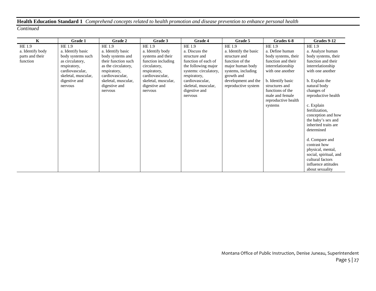# **Health Education Standard 1** *Comprehend concepts related to health promotion and disease prevention to enhance personal health*

| $\mathbf{K}$                                              | Grade 1                                                                                                                                                   | Grade 2                                                                                                                                                                             | Grade 3                                                                                                                                                                     | <b>Grade 4</b>                                                                                                                                                                                         | Grade 5                                                                                                                                                                         | Grades 6-8                                                                                                                                                                                                                      | Grades 9-12                                                                                                                                                                                                                                                                                                                                                                                                                                              |
|-----------------------------------------------------------|-----------------------------------------------------------------------------------------------------------------------------------------------------------|-------------------------------------------------------------------------------------------------------------------------------------------------------------------------------------|-----------------------------------------------------------------------------------------------------------------------------------------------------------------------------|--------------------------------------------------------------------------------------------------------------------------------------------------------------------------------------------------------|---------------------------------------------------------------------------------------------------------------------------------------------------------------------------------|---------------------------------------------------------------------------------------------------------------------------------------------------------------------------------------------------------------------------------|----------------------------------------------------------------------------------------------------------------------------------------------------------------------------------------------------------------------------------------------------------------------------------------------------------------------------------------------------------------------------------------------------------------------------------------------------------|
| HE 1.9<br>a. Identify body<br>parts and their<br>function | HE 1.9<br>a. Identify basic<br>body systems such<br>as circulatory,<br>respiratory,<br>cardiovascular,<br>skeletal, muscular,<br>digestive and<br>nervous | HE 1.9<br>a. Identify basic<br>body systems and<br>their function such<br>as the circulatory,<br>respiratory,<br>cardiovascular,<br>skeletal, muscular,<br>digestive and<br>nervous | HE 1.9<br>a. Identify body<br>systems and their<br>function including<br>circulatory,<br>respiratory,<br>cardiovascular,<br>skeletal, muscular,<br>digestive and<br>nervous | HE 1.9<br>a. Discuss the<br>structure and<br>function of each of<br>the following major<br>systems: circulatory,<br>respiratory,<br>cardiovascular,<br>skeletal, muscular,<br>digestive and<br>nervous | <b>HE1.9</b><br>a. Identify the basic<br>structure and<br>function of the<br>major human body<br>systems, including<br>growth and<br>development and the<br>reproductive system | HE 1.9<br>a. Define human<br>body systems, their<br>function and their<br>interrelationship<br>with one another<br>b. Identify basic<br>structures and<br>functions of the<br>male and female<br>reproductive health<br>systems | HE 1.9<br>a. Analyze human<br>body systems, their<br>function and their<br>interrelationship<br>with one another<br>b. Explain the<br>natural body<br>changes of<br>reproductive health<br>c. Explain<br>fertilization,<br>conception and how<br>the baby's sex and<br>inherited traits are<br>determined<br>d. Compare and<br>contrast how<br>physical, mental,<br>social, spiritual, and<br>cultural factors<br>influence attitudes<br>about sexuality |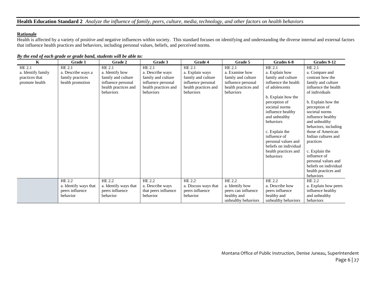## **Health Education Standard 2** *Analyze the influence of family, peers, culture, media, technology, and other factors on health behaviors*

## **Rationale**

Health is affected by a variety of positive and negative influences within society. This standard focuses on identifying and understanding the diverse internal and external factors that influence health practices and behaviors, including personal values, beliefs, and perceived norms.

| K                  | Grade 1               | Grade 2               | Grade 3              | Grade 4              | Grade 5              | Grades 6-8                     | Grades 9-12                               |
|--------------------|-----------------------|-----------------------|----------------------|----------------------|----------------------|--------------------------------|-------------------------------------------|
| HE 2.1             | HE 2.1                | HE 2.1                | HE 2.1               | HE 2.1               | HE 2.1               | HE 2.1                         | HE 2.1                                    |
| a. Identify family | a. Describe ways a    | a. Identify how       | a. Describe ways     | a. Explain ways      | a. Examine how       | a. Explain how                 | a. Compare and                            |
| practices that     | family practices      | family and culture    | family and culture   | family and culture   | family and culture   | family and culture             | contrast how the                          |
| promote health     | health promotion      | influence personal    | influence personal   | influence personal   | influence personal   | influence the health           | family and culture                        |
|                    |                       | health practices and  | health practices and | health practices and | health practices and | of adolescents                 | influence the health                      |
|                    |                       | behaviors             | behaviors            | behaviors            | behaviors            |                                | of individuals                            |
|                    |                       |                       |                      |                      |                      | b. Explain how the             |                                           |
|                    |                       |                       |                      |                      |                      | perception of                  | b. Explain how the                        |
|                    |                       |                       |                      |                      |                      | societal norms                 | perception of                             |
|                    |                       |                       |                      |                      |                      | influence healthy              | societal norms                            |
|                    |                       |                       |                      |                      |                      | and unhealthy                  | influence healthy                         |
|                    |                       |                       |                      |                      |                      | behaviors                      | and unhealthy                             |
|                    |                       |                       |                      |                      |                      |                                | behaviors, including<br>those of American |
|                    |                       |                       |                      |                      |                      | c. Explain the<br>influence of | Indian cultures and                       |
|                    |                       |                       |                      |                      |                      | personal values and            | practices                                 |
|                    |                       |                       |                      |                      |                      | beliefs on individual          |                                           |
|                    |                       |                       |                      |                      |                      | health practices and           | c. Explain the                            |
|                    |                       |                       |                      |                      |                      | behaviors                      | influence of                              |
|                    |                       |                       |                      |                      |                      |                                | personal values and                       |
|                    |                       |                       |                      |                      |                      |                                | beliefs on individual                     |
|                    |                       |                       |                      |                      |                      |                                | health practices and                      |
|                    |                       |                       |                      |                      |                      |                                | behaviors                                 |
|                    | HE 2.2                | HE 2.2                | HE 2.2               | HE 2.2               | HE 2.2               | HE 2.2                         | HE 2.2                                    |
|                    | a. Identify ways that | a. Identify ways that | a. Describe ways     | a. Discuss ways that | a. Identify how      | a. Describe how                | a. Explain how peers                      |
|                    | peers influence       | peers influence       | that peers influence | peers influence      | peers can influence  | peers influence                | influence healthy                         |
|                    | behavior              | behavior              | behavior             | behavior             | healthy and          | healthy and                    | and unhealthy                             |
|                    |                       |                       |                      |                      | unhealthy behaviors  | unhealthy behaviors            | behaviors                                 |

#### *By the end of each grade or grade band, students will be able to:*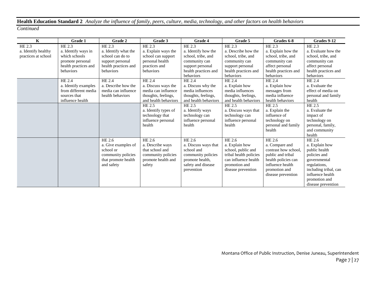# **Health Education Standard 2** *Analyze the influence of family, peers, culture, media, technology, and other factors on health behaviors*

| $\mathbf K$         | Grade 1              | Grade 2              | Grade 3              | Grade 4              | Grade 5                | Grades 6-8           | Grades 9-12           |
|---------------------|----------------------|----------------------|----------------------|----------------------|------------------------|----------------------|-----------------------|
| HE 2.3              | HE 2.3               | HE 2.3               | HE 2.3               | HE 2.3               | HE 2.3                 | HE 2.3               | HE 2.3                |
| a. Identify healthy | a. Identify ways in  | a. Identify what the | a. Explain ways the  | a. Identify how the  | a. Describe how the    | a. Explain how the   | a. Evaluate how the   |
| practices at school | which schools        | school can do to     | school can support   | school, tribe, and   | school, tribe, and     | school, tribe, and   | school, tribe, and    |
|                     | promote personal     | support personal     | personal health      | community can        | community can          | community can        | community can         |
|                     | health practices and | health practices and | practices and        | support personal     | support personal       | affect personal      | affect personal       |
|                     | behaviors            | behaviors            | behaviors            | health practices and | health practices and   | health practices and | health practices and  |
|                     |                      |                      |                      | behaviors            | behaviors              | behaviors            | behaviors             |
|                     | HE 2.4               | HE 2.4               | HE 2.4               | HE 2.4               | HE 2.4                 | HE 2.4               | HE 2.4                |
|                     | a. Identify examples | a. Describe how the  | a. Discuss ways the  | a. Discuss why the   | a. Explain how         | a. Explain how       | a. Evaluate the       |
|                     | from different media | media can influence  | media can influence  | media influences     | media influences       | messages from        | effect of media on    |
|                     | sources that         | health behaviors     | thoughts, feelings,  | thoughts, feelings,  | thoughts, feelings,    | media influence      | personal and family   |
|                     | influence health     |                      | and health behaviors | and health behaviors | and health behaviors   | health behaviors     | health                |
|                     |                      |                      | HE 2.5               | HE 2.5               | HE 2.5                 | HE 2.5               | HE 2.5                |
|                     |                      |                      | a. Identify types of | a. Identify ways     | a. Discuss ways that   | a. Explain the       | a. Evaluate the       |
|                     |                      |                      | technology that      | technology can       | technology can         | influence of         | impact of             |
|                     |                      |                      | influence personal   | influence personal   | influence personal     | technology on        | technology on         |
|                     |                      |                      | health               | health               | health                 | personal and family  | personal, family,     |
|                     |                      |                      |                      |                      |                        | health               | and community         |
|                     |                      |                      |                      |                      |                        |                      | health                |
|                     |                      | HE 2.6               | HE 2.6               | HE 2.6               | HE 2.6                 | HE 2.6               | HE 2.6                |
|                     |                      | a. Give examples of  | a. Describe ways     | a. Discuss ways that | a. Explain how         | a. Compare and       | a. Explain how        |
|                     |                      | school or            | that school and      | school and           | school, public and     | contrast how school. | public health         |
|                     |                      | community policies   | community policies   | community policies   | tribal health policies | public and tribal    | policies and          |
|                     |                      | that promote health  | promote health and   | promote health,      | can influence health   | health policies can  | governmental          |
|                     |                      | and safety           | safety               | safety and disease   | promotion and          | influence health     | regulations,          |
|                     |                      |                      |                      | prevention           | disease prevention     | promotion and        | including tribal, can |
|                     |                      |                      |                      |                      |                        | disease prevention   | influence health      |
|                     |                      |                      |                      |                      |                        |                      | promotion and         |
|                     |                      |                      |                      |                      |                        |                      | disease prevention    |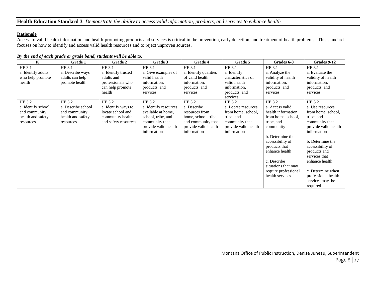## **Health Education Standard 3** *Demonstrate the ability to access valid information, products, and services to enhance health*

#### **Rationale**

Access to valid health information and health-promoting products and services is critical in the prevention, early detection, and treatment of health problems. This standard focuses on how to identify and access valid health resources and to reject unproven sources.

| $\mathbf K$        | Grade 1            | Grade 2              | Grade 3               | Grade 4               | Grade 5              | Grades 6-8           | Grades 9-12          |
|--------------------|--------------------|----------------------|-----------------------|-----------------------|----------------------|----------------------|----------------------|
| HE 3.1             | HE 3.1             | HE 3.1               | HE 3.1                | HE 3.1                | <b>HE 3.1</b>        | HE 3.1               | HE 3.1               |
| a. Identify adults | a. Describe ways   | a. Identify trusted  | a. Give examples of   | a. Identify qualities | a. Identify          | a. Analyze the       | a. Evaluate the      |
| who help promote   | adults can help    | adults and           | valid health          | of valid health       | characteristics of   | validity of health   | validity of health   |
| health             | promote health     | professionals who    | information,          | information,          | valid health         | information,         | information,         |
|                    |                    | can help promote     | products, and         | products, and         | information,         | products, and        | products, and        |
|                    |                    | health               | services              | services              | products, and        | services             | services             |
|                    |                    |                      |                       |                       | services             |                      |                      |
| HE 3.2             | HE 3.2             | HE 3.2               | HE 3.2                | HE 3.2                | HE 3.2               | HE 3.2               | HE 3.2               |
| a. Identify school | a. Describe school | a. Identify ways to  | a. Identify resources | a. Describe           | a. Locate resources  | a. Access valid      | a. Use resources     |
| and community      | and community      | locate school and    | available at home,    | resources from        | from home, school,   | health information   | from home, school,   |
| health and safety  | health and safety  | community health     | school, tribe, and    | home, school, tribe,  | tribe, and           | from home, school,   | tribe, and           |
| resources          | resources          | and safety resources | community that        | and community that    | community that       | tribe, and           | community that       |
|                    |                    |                      | provide valid health  | provide valid health  | provide valid health | community            | provide valid health |
|                    |                    |                      | information           | information           | information          |                      | information          |
|                    |                    |                      |                       |                       |                      | b. Determine the     |                      |
|                    |                    |                      |                       |                       |                      | accessibility of     | b. Determine the     |
|                    |                    |                      |                       |                       |                      | products that        | accessibility of     |
|                    |                    |                      |                       |                       |                      | enhance health       | products and         |
|                    |                    |                      |                       |                       |                      |                      | services that        |
|                    |                    |                      |                       |                       |                      | c. Describe          | enhance health       |
|                    |                    |                      |                       |                       |                      | situations that may  |                      |
|                    |                    |                      |                       |                       |                      | require professional | c. Determine when    |
|                    |                    |                      |                       |                       |                      | health services      | professional health  |
|                    |                    |                      |                       |                       |                      |                      | services may be      |
|                    |                    |                      |                       |                       |                      |                      | required             |

*By the end of each grade or grade band, students will be able to:*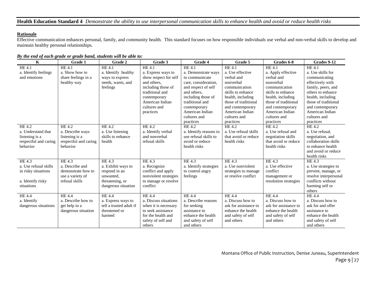**Health Education Standard 4** *Demonstrate the ability to use interpersonal communication skills to enhance health and avoid or reduce health risks*

## **Rationale**

Effective communication enhances personal, family, and community health. This standard focuses on how responsible individuals use verbal and non-verbal skills to develop and maintain healthy personal relationships.

| $\mathbf K$           | <b>Grade 1</b>        | Grade 2                 | Grade 3               | Grade 4                | Grade 5               | Grades 6-8            | Grades 9-12           |
|-----------------------|-----------------------|-------------------------|-----------------------|------------------------|-----------------------|-----------------------|-----------------------|
| HE 4.1                | HE 4.1                | HE 4.1                  | <b>HE4.1</b>          | HE 4.1                 | <b>HE4.1</b>          | <b>HE4.1</b>          | HE 4.1                |
| a. Identify feelings  | a. Show how to        | a. Identify healthy     | a. Express ways to    | a. Demonstrate ways    | a. Use effective      | a. Apply effective    | a. Use skills for     |
| and emotions          | share feelings in a   | ways to express         | show respect for self | to communicate         | verbal and            | verbal and            | communicating         |
|                       | healthy way           | needs, wants, and       | and others.           | care, consideration,   | nonverbal             | nonverbal             | effectively with      |
|                       |                       | feelings                | including those of    | and respect of self    | communication         | communication         | family, peers, and    |
|                       |                       |                         | traditional and       | and others.            | skills to enhance     | skills to enhance     | others to enhance     |
|                       |                       |                         | contemporary          | including those of     | health, including     | health, including     | health, including     |
|                       |                       |                         | American Indian       | traditional and        | those of traditional  | those of traditional  | those of traditional  |
|                       |                       |                         | cultures and          | contemporary           | and contemporary      | and contemporary      | and contemporary      |
|                       |                       |                         | practices             | American Indian        | American Indian       | American Indian       | American Indian       |
|                       |                       |                         |                       | cultures and           | cultures and          | cultures and          | cultures and          |
|                       |                       |                         |                       | practices              | practices             | practices             | practices             |
| HE 4.2                | HE 4.2                | HE 4.2                  | HE 4.2                | HE 4.2                 | <b>HE 4.2</b>         | HE 4.2                | HE4.2                 |
| a. Understand that    | a. Describe ways      | a. Use listening        | a. Identify verbal    | a. Identify reasons to | a. Use refusal skills | a. Use refusal and    | a. Use refusal,       |
| listening is a        | listening is a        | skills to enhance       | and nonverbal         | use refusal skills to  | that avoid or reduce  | negotiation skills    | negotiation, and      |
| respectful and caring | respectful and caring | health                  | refusal skills        | avoid or reduce        | health risks          | that avoid or reduce  | collaboration skills  |
| behavior              | behavior              |                         |                       | health risks           |                       | health risks          | to enhance health     |
|                       |                       |                         |                       |                        |                       |                       | and avoid or reduce   |
|                       |                       |                         |                       |                        |                       |                       | health risks          |
| HE 4.3                | HE 4.3                | HE 4.3                  | HE 4.3                | HE 4.3                 | HE 4.3                | HE 4.3                | <b>HE4.3</b>          |
| a. Use refusal skills | a. Describe and       | a. Exhibit ways to      | a. Recognize          | a. Identify strategies | a. Use nonviolent     | a. Use effective      | a. Use strategies to  |
| in risky situations   | demonstrate how to    | respond in an           | conflict and apply    | to control angry       | strategies to manage  | conflict              | prevent, manage, or   |
|                       | use a variety of      | unwanted,               | nonviolent strategies | feelings               | or resolve conflict   | management or         | resolve interpersonal |
| a. Identify risky     | refusal skills        | threatening, or         | to manage or resolve  |                        |                       | resolution strategies | conflicts without     |
| situations            |                       | dangerous situation     | conflict              |                        |                       |                       | harming self or       |
|                       |                       |                         |                       |                        |                       |                       | others                |
| HE 4.4                | <b>HE4.4</b>          | HE 4.4                  | <b>HE4.4</b>          | <b>HE4.4</b>           | <b>HE4.4</b>          | <b>HE4.4</b>          | <b>HE4.4</b>          |
| a. Identify           | a. Describe how to    | a. Express ways to      | a. Discuss situations | a. Describe reasons    | a. Discuss how to     | a. Discuss how to     | a. Discuss how to     |
| dangerous situations  | get help in a         | tell a trusted adult if | when it is necessary  | for seeking            | ask for assistance to | ask for assistance to | ask for and offer     |
|                       | dangerous situation   | threatened or           | to seek assistance    | assistance to          | enhance the health    | enhance the health    | assistance to         |
|                       |                       | harmed                  | for the health and    | enhance the health     | and safety of self    | and safety of self    | enhance the health    |
|                       |                       |                         | safety of self and    | and safety of self     | and others            | and others            | and safety of self    |
|                       |                       |                         | others                | and others             |                       |                       | and others            |

## *By the end of each grade or grade band, students will be able to:*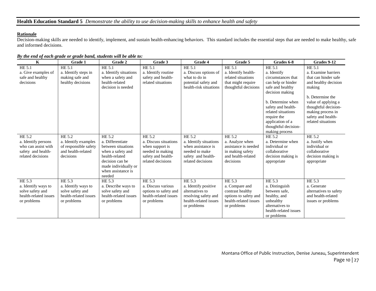## **Rationale**

Decision-making skills are needed to identify, implement, and sustain health-enhancing behaviors. This standard includes the essential steps that are needed to make healthy, safe and informed decisions.

| $\mathbf K$                                                                                     | Grade 1                                                                                    | Grade 2                                                                                                                                                            | Grade 3                                                                                                           | Grade 4                                                                                                             | Grade 5                                                                                                       | Grades 6-8                                                                                                                                                                                                                                             | Grades 9-12                                                                                                                                                                                                                 |
|-------------------------------------------------------------------------------------------------|--------------------------------------------------------------------------------------------|--------------------------------------------------------------------------------------------------------------------------------------------------------------------|-------------------------------------------------------------------------------------------------------------------|---------------------------------------------------------------------------------------------------------------------|---------------------------------------------------------------------------------------------------------------|--------------------------------------------------------------------------------------------------------------------------------------------------------------------------------------------------------------------------------------------------------|-----------------------------------------------------------------------------------------------------------------------------------------------------------------------------------------------------------------------------|
| HE 5.1<br>a. Give examples of<br>safe and healthy<br>decisions                                  | HE 5.1<br>a. Identify steps in<br>making safe and<br>healthy decisions                     | HE 5.1<br>a. Identify situations<br>when a safety and<br>health-related<br>decision is needed                                                                      | <b>HE 5.1</b><br>a. Identify routine<br>safety and health-<br>related situations                                  | HE 5.1<br>a. Discuss options of<br>what to do in<br>potential safety and<br>health-risk situations                  | HE 5.1<br>a. Identify health-<br>related situations<br>that might require<br>thoughtful decisions             | HE 5.1<br>a. Identify<br>circumstances that<br>can help or hinder<br>safe and healthy<br>decision making<br>b. Determine when<br>safety and health-<br>related situations<br>require the<br>application of a<br>thoughtful decision-<br>making process | HE 5.1<br>a. Examine barriers<br>that can hinder safe<br>and healthy decision<br>making<br>b. Determine the<br>value of applying a<br>thoughtful decision-<br>making process in<br>safety and health-<br>related situations |
| HE 5.2<br>a. Identify persons<br>who can assist with<br>safety and health-<br>related decisions | HE 5.2<br>a. Identify examples<br>of responsible safety<br>and health-related<br>decisions | HE 5.2<br>a. Differentiate<br>between situations<br>when a safety and<br>health-related<br>decision can be<br>made individually or<br>when assistance is<br>needed | HE 5.2<br>a. Discuss situations<br>when support is<br>needed in making<br>safety and health-<br>related decisions | HE 5.2<br>a. Identify situations<br>when assistance is<br>needed to make<br>safety and health-<br>related decisions | HE 5.2<br>a. Analyze when<br>assistance is needed<br>in making safety<br>and health-related<br>decisions      | HE 5.2<br>a. Determine when<br>individual or<br>collaborative<br>decision making is<br>appropriate                                                                                                                                                     | HE 5.2<br>a. Justify when<br>individual or<br>collaborative<br>decision making is<br>appropriate                                                                                                                            |
| HE 5.3<br>a. Identify ways to<br>solve safety and<br>health-related issues<br>or problems       | HE 5.3<br>a. Identify ways to<br>solve safety and<br>health-related issues<br>or problems  | HE 5.3<br>a. Describe ways to<br>solve safety and<br>health-related issues<br>or problems                                                                          | HE 5.3<br>a. Discuss various<br>options to safety and<br>health-related issues<br>or problems                     | HE 5.3<br>a. Identify positive<br>alternatives to<br>resolving safety and<br>health-related issues<br>or problems   | HE 5.3<br>a. Compare and<br>contrast healthy<br>options to safety and<br>health-related issues<br>or problems | HE 5.3<br>a. Distinguish<br>between safe.<br>healthy, and<br>unhealthy<br>alternatives to<br>health-related issues<br>or problems                                                                                                                      | HE 5.3<br>a. Generate<br>alternatives to safety<br>and health-related<br>issues or problems                                                                                                                                 |

*By the end of each grade or grade band, students will be able to:*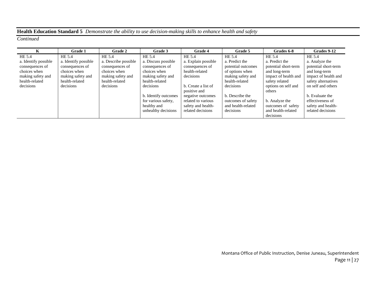# **Health Education Standard 5** *Demonstrate the ability to use decision-making skills to enhance health and safety*

|                      | <b>Grade 1</b>       | <b>Grade 2</b>       | Grade 3              | Grade 4             | Grade 5            | Grades 6-8           | Grades 9-12          |
|----------------------|----------------------|----------------------|----------------------|---------------------|--------------------|----------------------|----------------------|
| HE 5.4               | HE 5.4               | HE 5.4               | HE 5.4               | HE 5.4              | HE 5.4             | HE 5.4               | HE 5.4               |
| a. Identify possible | a. Identify possible | a. Describe possible | a. Discuss possible  | a. Explain possible | a. Predict the     | a. Predict the       | a. Analyze the       |
| consequences of      | consequences of      | consequences of      | consequences of      | consequences of     | potential outcomes | potential short-term | potential short-term |
| choices when         | choices when         | choices when         | choices when         | health-related      | of options when    | and long-term        | and long-term        |
| making safety and    | making safety and    | making safety and    | making safety and    | decisions           | making safety and  | impact of health and | impact of health and |
| health-related       | health-related       | health-related       | health-related       |                     | health-related     | safety related       | safety alternatives  |
| decisions            | decisions            | decisions            | decisions            | b. Create a list of | decisions          | options on self and  | on self and others   |
|                      |                      |                      |                      | positive and        |                    | others               |                      |
|                      |                      |                      | b. Identify outcomes | negative outcomes   | b. Describe the    |                      | b. Evaluate the      |
|                      |                      |                      | for various safety,  | related to various  | outcomes of safety | b. Analyze the       | effectiveness of     |
|                      |                      |                      | healthy and          | safety and health-  | and health-related | outcomes of safety   | safety and health-   |
|                      |                      |                      | unhealthy decisions  | related decisions   | decisions          | and health-related   | related decisions    |
|                      |                      |                      |                      |                     |                    | decisions            |                      |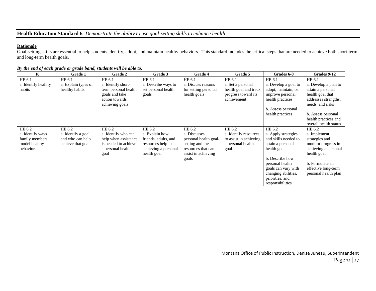### **Rationale**

Goal-setting skills are essential to help students identify, adopt, and maintain healthy behaviors. This standard includes the critical steps that are needed to achieve both short-term and long-term health goals.

| K                   | Grade 1             | Grade 2              | Grade 3              | Grade 4               | Grade 5                | Grades 6-8           | Grades 9-12           |
|---------------------|---------------------|----------------------|----------------------|-----------------------|------------------------|----------------------|-----------------------|
| HE 6.1              | HE 6.1              | HE 6.1               | HE 6.1               | HE 6.1                | HE 6.1                 | HE 6.1               | HE 6.1                |
| a. Identify healthy | a. Explain types of | a. Identify short-   | a. Describe ways to  | a. Discuss reasons    | a. Set a personal      | a. Develop a goal to | a. Develop a plan to  |
| habits              | healthy habits      | term personal health | set personal health  | for setting personal  | health goal and track  | adopt, maintain, or  | attain a personal     |
|                     |                     | goals and take       | goals                | health goals          | progress toward its    | improve personal     | health goal that      |
|                     |                     | action towards       |                      |                       | achievement            | health practices     | addresses strengths,  |
|                     |                     | achieving goals      |                      |                       |                        |                      | needs, and risks      |
|                     |                     |                      |                      |                       |                        | b. Assess personal   |                       |
|                     |                     |                      |                      |                       |                        | health practices     | b. Assess personal    |
|                     |                     |                      |                      |                       |                        |                      | health practices and  |
|                     |                     |                      |                      |                       |                        |                      | overall health status |
| HE 6.2              | HE 6.2              | HE 6.2               | HE 6.2               | HE 6.2                | HE 6.2                 | HE 6.2               | HE 6.2                |
| a. Identify ways    | a. Identify a goal  | a. Identify who can  | a. Explain how       | a. Discusses          | a. Identify resources  | a. Apply strategies  | a. Implement          |
| family members      | and who can help    | help when assistance | friends, adults, and | personal health goal- | to assist in achieving | and skills needed to | strategies and        |
| model healthy       | achieve that goal   | is needed to achieve | resources help in    | setting and the       | a personal health      | attain a personal    | monitor progress in   |
| behaviors           |                     | a personal health    | achieving a personal | resources that can    | goal                   | health goal          | achieving a personal  |
|                     |                     | goal                 | health goal          | assist in achieving   |                        |                      | health goal           |
|                     |                     |                      |                      | goals                 |                        | b. Describe how      |                       |
|                     |                     |                      |                      |                       |                        | personal health      | b. Formulate an       |
|                     |                     |                      |                      |                       |                        | goals can vary with  | effective long-term   |
|                     |                     |                      |                      |                       |                        | changing abilities,  | personal health plan  |
|                     |                     |                      |                      |                       |                        | priorities, and      |                       |
|                     |                     |                      |                      |                       |                        | responsibilities     |                       |

*By the end of each grade or grade band, students will be able to:*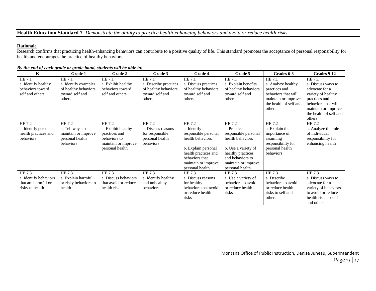# **Health Education Standard 7** *Demonstrate the ability to practice health-enhancing behaviors and avoid or reduce health risks*

#### **Rationale**

Research confirms that practicing health-enhancing behaviors can contribute to a positive quality of life. This standard promotes the acceptance of personal responsibility for health and encourages the practice of healthy behaviors.

| $\mathbf K$                                                               | Grade 1                                                                             | Grade 2                                                                                                 | Grade 3                                                                              | Grade 4                                                                                                                                                                                  | Grade 5                                                                                                                                                                     | Grades 6-8                                                                                                                      | Grades 9-12                                                                                                                                                             |
|---------------------------------------------------------------------------|-------------------------------------------------------------------------------------|---------------------------------------------------------------------------------------------------------|--------------------------------------------------------------------------------------|------------------------------------------------------------------------------------------------------------------------------------------------------------------------------------------|-----------------------------------------------------------------------------------------------------------------------------------------------------------------------------|---------------------------------------------------------------------------------------------------------------------------------|-------------------------------------------------------------------------------------------------------------------------------------------------------------------------|
| HE 7.1<br>a. Identify healthy<br>behaviors toward<br>self and others      | HE 7.1<br>a. Identify examples<br>of healthy behaviors<br>toward self and<br>others | HE 7.1<br>a. Exhibit healthy<br>behaviors toward<br>self and others                                     | HE 7.1<br>a. Describe practices<br>of healthy behaviors<br>toward self and<br>others | HE 7.1<br>a. Discuss practices<br>of healthy behaviors<br>toward self and<br>others                                                                                                      | HE 7.1<br>a. Explain benefits<br>of healthy behaviors<br>toward self and<br>others                                                                                          | HE 7.1<br>a. Analyze healthy<br>practices and<br>behaviors that will<br>maintain or improve<br>the health of self and<br>others | HE 7.1<br>a. Discuss ways to<br>advocate for a<br>variety of healthy<br>practices and<br>behaviors that will<br>maintain or improve<br>the health of self and<br>others |
| HE 7.2<br>a. Identify personal<br>health practices and<br>behaviors       | HE 7.2<br>a. Tell ways to<br>maintain or improve<br>personal health<br>behaviors    | HE 7.2<br>a. Exhibit healthy<br>practices and<br>behaviors to<br>maintain or improve<br>personal health | HE 7.2<br>a. Discuss reasons<br>for responsible<br>personal health<br>behaviors      | $HE\overline{7.2}$<br>a. Identify<br>responsible personal<br>health behaviors<br>b. Explain personal<br>health practices and<br>behaviors that<br>maintain or improve<br>personal health | HE 7.2<br>a. Practice<br>responsible personal<br>health behaviors<br>b. Use a variety of<br>healthy practices<br>and behaviors to<br>maintain or improve<br>personal health | HE 7.2<br>a. Explain the<br>importance of<br>assuming<br>responsibility for<br>personal health<br>behaviors                     | HE 7.2<br>a. Analyze the role<br>of individual<br>responsibility for<br>enhancing health                                                                                |
| HE 7.3<br>a. Identify behaviors<br>that are harmful or<br>risky to health | HE 7.3<br>a. Explain harmful<br>or risky behaviors to<br>health                     | HE 7.3<br>a. Discuss behaviors<br>that avoid or reduce<br>health risk                                   | HE 7.3<br>a. Identify healthy<br>and unhealthy<br>behaviors                          | HE 7.3<br>a. Discuss reasons<br>for healthy<br>behaviors that avoid<br>or reduce health<br>risks                                                                                         | HE 7.3<br>a. Use a variety of<br>behaviors to avoid<br>or reduce health<br>risks                                                                                            | HE 7.3<br>a. Describe<br>behaviors to avoid<br>or reduce health<br>risks to self and<br>others                                  | HE 7.3<br>a. Discuss ways to<br>advocate for a<br>variety of behaviors<br>to avoid or reduce<br>health risks to self<br>and others                                      |

*By the end of each grade or grade band, students will be able to:*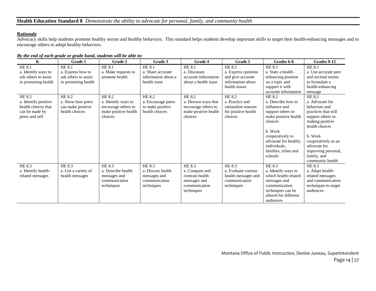## **Rationale**

Advocacy skills help students promote healthy norms and healthy behaviors. This standard helps students develop important skills to target their health-enhancing messages and to encourage others to adopt healthy behaviors.

#### *By the end of each grade or grade band, students will be able to:*

| $\mathbf K$                                                                            | Grade 1                                                                                     | Grade 2                                                                       | Grade 3                                                                                    | Grade 4                                                                                           | Grade 5                                                                                                   | Grades 6-8                                                                                                                                                                                            | Grades 9-12                                                                                                                                                                                                                   |
|----------------------------------------------------------------------------------------|---------------------------------------------------------------------------------------------|-------------------------------------------------------------------------------|--------------------------------------------------------------------------------------------|---------------------------------------------------------------------------------------------------|-----------------------------------------------------------------------------------------------------------|-------------------------------------------------------------------------------------------------------------------------------------------------------------------------------------------------------|-------------------------------------------------------------------------------------------------------------------------------------------------------------------------------------------------------------------------------|
| HE 8.1<br>a. Identify ways to<br>ask others to assist<br>in promoting health<br>HE 8.2 | <b>HE 8.1</b><br>a. Express how to<br>ask others to assist<br>in promoting health<br>HE 8.2 | HE 8.1<br>a. Make requests to<br>promote health<br>HE 8.2                     | <b>HE 8.1</b><br>a. Share accurate<br>information about a<br>health issue<br><b>HE 8.2</b> | <b>HE 8.1</b><br>a. Discusses<br>accurate information<br>about a health issue<br>HE 8.2           | <b>HE 8.1</b><br>a. Express opinions<br>and give accurate<br>information about<br>health issues<br>HE 8.2 | <b>HE 8.1</b><br>a. State a health-<br>enhancing position<br>on a topic and<br>support it with<br>accurate information<br>HE 8.2                                                                      | <b>HE 8.1</b><br>a. Use accurate peer<br>and societal norms<br>to formulate a<br>health-enhancing<br>message<br>HE 8.2                                                                                                        |
| a. Identify positive<br>health choices that<br>can be made by<br>peers and self        | a. Show how peers<br>can make positive<br>health choices                                    | a. Identify ways to<br>encourage others to<br>make positive health<br>choices | a. Encourage peers<br>to make positive<br>health choices                                   | a. Discuss ways that<br>encourage others to<br>make positive health<br>choices                    | a. Practice and<br>rationalize reasons<br>for positive health<br>choices                                  | a. Describe how to<br>influence and<br>support others to<br>make positive health<br>choices<br>b. Work<br>cooperatively to<br>advocate for healthy<br>individuals,<br>families, tribes and<br>schools | a. Advocate for<br>behaviors and<br>practices that will<br>support others in<br>making positive<br>health choices<br>b. Work<br>cooperatively as an<br>advocate for<br>improving personal,<br>family, and<br>community health |
| HE 8.3<br>a. Identify health-<br>related messages                                      | HE 8.3<br>a. List a variety of<br>health messages                                           | HE 8.3<br>a. Describe health<br>messages and<br>communication<br>techniques   | <b>HE 8.3</b><br>a. Discuss health<br>messages and<br>communication<br>techniques          | <b>HE 8.3</b><br>a. Compare and<br>contrast health<br>messages and<br>communication<br>techniques | HE 8.3<br>a. Evaluate various<br>health messages and<br>communication<br>techniques                       | HE 8.3<br>a. Identify ways in<br>which health-related<br>messages and<br>communication<br>techniques can be<br>altered for different<br>audiences                                                     | HE 8.3<br>a. Adapt health-<br>related messages<br>and communication<br>techniques to target<br>audiences                                                                                                                      |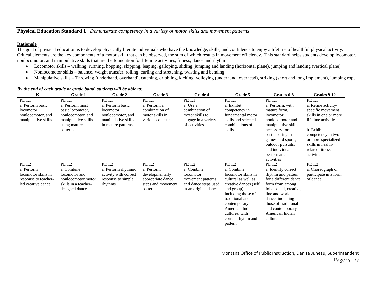## **Physical Education Standard 1** *Demonstrate competency in a variety of motor skills and movement patterns*

#### **Rationale**

The goal of physical education is to develop physically literate individuals who have the knowledge, skills, and confidence to enjoy a lifetime of healthful physical activity. Critical elements are the key components of a motor skill that can be observed, the sum of which results in movement efficiency. This standard helps students develop locomotor, nonlocomotor, and manipulative skills that are the foundation for lifetime activities, fitness, dance and rhythm.

- Locomotor skills walking, running, hopping, skipping, leaping, galloping, sliding, jumping and landing (horizontal plane), jumping and landing (vertical plane)
- Nonlocomotor skills balance, weight transfer, rolling, curling and stretching, twisting and bending
- Manipulative skills Throwing (underhand, overhand), catching, dribbling, kicking, volleying (underhand, overhead), striking (short and long implement), jumping rope

| $\mathbf K$                                                                               | Grade 1                                                                                                               | Grade 2                                                                                                    | Grade 3                                                                                        | Grade 4                                                                                                | Grade 5                                                                                                                                                                                                                                   | Grades 6-8                                                                                                                                                                                                                                  | Grades 9-12                                                                                                                                                                                                        |
|-------------------------------------------------------------------------------------------|-----------------------------------------------------------------------------------------------------------------------|------------------------------------------------------------------------------------------------------------|------------------------------------------------------------------------------------------------|--------------------------------------------------------------------------------------------------------|-------------------------------------------------------------------------------------------------------------------------------------------------------------------------------------------------------------------------------------------|---------------------------------------------------------------------------------------------------------------------------------------------------------------------------------------------------------------------------------------------|--------------------------------------------------------------------------------------------------------------------------------------------------------------------------------------------------------------------|
| PE 1.1<br>a. Perform basic<br>locomotor,<br>nonlocomotor, and<br>manipulative skills      | PE 1.1<br>a. Perform most<br>basic locomotor,<br>nonlocomotor, and<br>manipulative skills<br>using mature<br>patterns | PE 1.1<br>a. Perform basic<br>locomotor,<br>nonlocomotor, and<br>manipulative skills<br>in mature patterns | PE 1.1<br>a. Perform a<br>combination of<br>motor skills in<br>various contexts                | PE 1.1<br>a. Use a<br>combination of<br>motor skills to<br>engage in a variety<br>of activities        | PE 1.1<br>a. Exhibit<br>competency in<br>fundamental motor<br>skills and selected<br>combinations of<br>skills                                                                                                                            | PE 1.1<br>a. Perform, with<br>mature form.<br>locomotor,<br>nonlocomotor and<br>manipulative skills<br>necessary for<br>participating in<br>games and sports,<br>outdoor pursuits,<br>and individual-<br>performance<br>activities          | PE 1.1<br>a. Refine activity-<br>specific movement<br>skills in one or more<br>lifetime activities<br>b. Exhibit<br>competency in two<br>or more specialized<br>skills in health-<br>related fitness<br>activities |
| PE 1.2<br>a. Perform<br>locomotor skills in<br>response to teacher-<br>led creative dance | PE 1.2<br>a. Combine<br>locomotor and<br>nonlocomotor motor<br>skills in a teacher-<br>designed dance                 | PE 1.2<br>a. Perform rhythmic<br>activity with correct<br>response to simple<br>rhythms                    | PE 1.2<br>a. Perform<br>developmentally<br>appropriate dance<br>steps and movement<br>patterns | PE 1.2<br>a. Combine<br>locomotor<br>movement patterns<br>and dance steps used<br>in an original dance | PE 1.2<br>a. Combine<br>locomotor skills in<br>cultural as well as<br>creative dances (self<br>and group),<br>including those of<br>traditional and<br>contemporary<br>American Indian<br>cultures, with<br>correct rhythm and<br>pattern | PE 1.2<br>a. Identify correct<br>rhythm and pattern<br>for a different dance<br>form from among<br>folk, social, creative,<br>line and world<br>dance, including<br>those of traditional<br>and contemporary<br>American Indian<br>cultures | PE 1.2<br>a. Choreograph or<br>participate in a form<br>of dance                                                                                                                                                   |

#### *By the end of each grade or grade band, students will be able to:*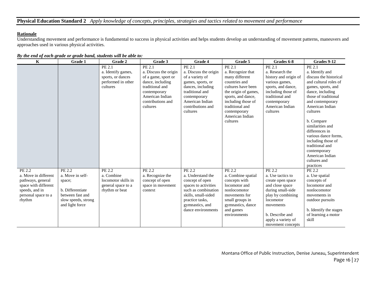## **Physical Education Standard 2** *Apply knowledge of concepts, principles, strategies and tactics related to movement and performance*

## **Rationale**

Understanding movement and performance is fundamental to success in physical activities and helps students develop an understanding of movement patterns, maneuvers and approaches used in various physical activities.

| $\mathbf K$                                                                                                                    | Grade 1                                                                                                                | Grade 2                                                                             | Grade 3                                                                                                                                                           | Grade 4                                                                                                                                                                             | Grade 5                                                                                                                                                                                                                    | Grades 6-8                                                                                                                                                                                            | Grades 9-12                                                                                                                                                                                                                                                                                                                                                                            |
|--------------------------------------------------------------------------------------------------------------------------------|------------------------------------------------------------------------------------------------------------------------|-------------------------------------------------------------------------------------|-------------------------------------------------------------------------------------------------------------------------------------------------------------------|-------------------------------------------------------------------------------------------------------------------------------------------------------------------------------------|----------------------------------------------------------------------------------------------------------------------------------------------------------------------------------------------------------------------------|-------------------------------------------------------------------------------------------------------------------------------------------------------------------------------------------------------|----------------------------------------------------------------------------------------------------------------------------------------------------------------------------------------------------------------------------------------------------------------------------------------------------------------------------------------------------------------------------------------|
|                                                                                                                                |                                                                                                                        | PE 2.1<br>a. Identify games,<br>sports, or dances<br>performed in other<br>cultures | PE 2.1<br>a. Discuss the origin<br>of a game, sport or<br>dance, including<br>traditional and<br>contemporary<br>American Indian<br>contributions and<br>cultures | PE 2.1<br>a. Discuss the origin<br>of a variety of<br>games, sports, or<br>dances, including<br>traditional and<br>contemporary<br>American Indian<br>contributions and<br>cultures | PE 2.1<br>a. Recognize that<br>many different<br>countries and<br>cultures have been<br>the origin of games,<br>sports, and dance,<br>including those of<br>traditional and<br>contemporary<br>American Indian<br>cultures | PE 2.1<br>a. Research the<br>history and origin of<br>various games,<br>sports, and dance,<br>including those of<br>traditional and<br>contemporary<br>American Indian<br>cultures                    | PE 2.1<br>a. Identify and<br>discuss the historical<br>and cultural roles of<br>games, sports, and<br>dance, including<br>those of traditional<br>and contemporary<br>American Indian<br>cultures<br>b. Compare<br>similarities and<br>differences in<br>various dance forms,<br>including those of<br>traditional and<br>contemporary<br>American Indian<br>cultures and<br>practices |
| PE 2.2<br>a. Move in different<br>pathways, general<br>space with different<br>speeds, and in<br>personal space to a<br>rhythm | PE 2.2<br>a. Move in self-<br>space;<br>b. Differentiate<br>between fast and<br>slow speeds, strong<br>and light force | PE 2.2<br>a. Combine<br>locomotor skills in<br>general space to a<br>rhythm or beat | PE 2.2<br>a. Recognize the<br>concept of open<br>space in movement<br>context                                                                                     | PE 2.2<br>a. Understand the<br>concept of open<br>spaces to activities<br>such as combination<br>skills, small-sided<br>practice tasks,<br>gymnastics, and<br>dance environments    | PE 2.2<br>a. Combine spatial<br>concepts with<br>locomotor and<br>nonlocomotor<br>movements for<br>small groups in<br>gymnastics, dance<br>and games<br>environments                                                       | PE 2.2<br>a. Use tactics to<br>create open space<br>and close space<br>during small-side<br>play by combining<br>locomotor<br>movements<br>b. Describe and<br>apply a variety of<br>movement concepts | PE 2.2<br>a. Use spatial<br>concepts of<br>locomotor and<br>nonlocomotor<br>movements in<br>outdoor pursuits<br>b. Identify the stages<br>of learning a motor<br>skill                                                                                                                                                                                                                 |

*By the end of each grade or grade band, students will be able to:*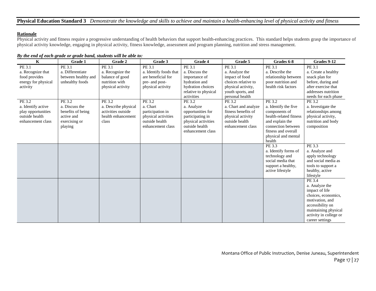## **Physical Education Standard 3** *Demonstrate the knowledge and skills to achieve and maintain a health-enhancing level of physical activity and fitness*

### **Rationale**

Physical activity and fitness require a progressive understanding of health behaviors that support health-enhancing practices. This standard helps students grasp the importance of physical activity knowledge, engaging in physical activity, fitness knowledge, assessment and program planning, nutrition and stress management.

#### *By the end of each grade or grade band, students will be able to:*

| $\mathbf K$         | Grade 1             | Grade 2              | Grade 3                | Grade 4                             | Grade 5              | Grades 6-8                                | Grades 9-12            |
|---------------------|---------------------|----------------------|------------------------|-------------------------------------|----------------------|-------------------------------------------|------------------------|
| PE 3.1              | PE 3.1              | PE 3.1               | PE 3.1                 | PE 3.1                              | PE 3.1               | PE 3.1                                    | PE 3.1                 |
| a. Recognize that   | a. Differentiate    | a. Recognize the     | a. Identify foods that | a. Discuss the                      | a. Analyze the       | a. Describe the                           | a. Create a healthy    |
| food provides       | between healthy and | balance of good      | are beneficial for     | importance of                       | impact of food       | relationship between                      | snack plan for         |
| energy for physical | unhealthy foods     | nutrition with       | pre- and post-         | hydration and                       | choices relative to  | poor nutrition and                        | before, during and     |
| activity            |                     | physical activity    | physical activity      | hydration choices                   | physical activity,   | health risk factors                       | after exercise that    |
|                     |                     |                      |                        | relative to physical                | youth sports, and    |                                           | addresses nutrition    |
|                     |                     |                      |                        | activities                          | personal health      |                                           | needs for each phase   |
| PE 3.2              | PE 3.2              | PE 3.2               | PE 3.2                 | PE 3.2                              | PE 3.2               | PE 3.2                                    | PE 3.2                 |
| a. Identify active  | a. Discuss the      | a. Describe physical | a. Chart               | a. Analyze                          | a. Chart and analyze | a. Identify the five                      | a. Investigate the     |
| play opportunities  | benefits of being   | activities outside   | participation in       | opportunities for                   | fitness benefits of  | components of                             | relationships among    |
| outside health      | active and          | health enhancement   | physical activities    | participating in                    | physical activity    | health-related fitness                    | physical activity,     |
| enhancement class   | exercising or       | class                | outside health         | physical activities                 | outside health       | and explain the                           | nutrition and body     |
|                     | playing             |                      | enhancement class      | outside health<br>enhancement class | enhancement class    | connection between<br>fitness and overall | composition            |
|                     |                     |                      |                        |                                     |                      | physical and mental                       |                        |
|                     |                     |                      |                        |                                     |                      | health                                    |                        |
|                     |                     |                      |                        |                                     |                      | PE 3.3                                    | PE 3.3                 |
|                     |                     |                      |                        |                                     |                      | a. Identify forms of                      | a. Analyze and         |
|                     |                     |                      |                        |                                     |                      | technology and                            | apply technology       |
|                     |                     |                      |                        |                                     |                      | social media that                         | and social media as    |
|                     |                     |                      |                        |                                     |                      | support a healthy,                        | tools to support a     |
|                     |                     |                      |                        |                                     |                      | active lifestyle                          | healthy, active        |
|                     |                     |                      |                        |                                     |                      |                                           | lifestyle              |
|                     |                     |                      |                        |                                     |                      |                                           | PE 3.4                 |
|                     |                     |                      |                        |                                     |                      |                                           | a. Analyze the         |
|                     |                     |                      |                        |                                     |                      |                                           | impact of life         |
|                     |                     |                      |                        |                                     |                      |                                           | choices, economics,    |
|                     |                     |                      |                        |                                     |                      |                                           | motivation, and        |
|                     |                     |                      |                        |                                     |                      |                                           | accessibility on       |
|                     |                     |                      |                        |                                     |                      |                                           | maintaining physical   |
|                     |                     |                      |                        |                                     |                      |                                           | activity in college or |
|                     |                     |                      |                        |                                     |                      |                                           | career settings        |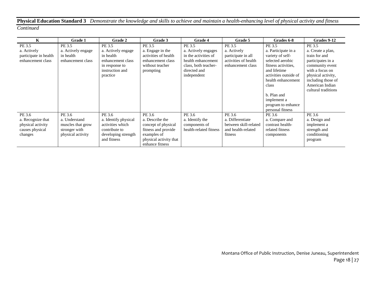# **Physical Education Standard 3** *Demonstrate the knowledge and skills to achieve and maintain a health-enhancing level of physical activity and fitness*

| K                     | Grade 1            | <b>Grade 2</b>       | Grade 3                | <b>Grade 4</b>         | Grade 5               | Grades 6-8                  | Grades 9-12                           |
|-----------------------|--------------------|----------------------|------------------------|------------------------|-----------------------|-----------------------------|---------------------------------------|
| PE 3.5                | PE 3.5             | PE 3.5               | PE 3.5                 | PE 3.5                 | PE 3.5                | PE 3.5                      | PE 3.5                                |
| a. Actively           | a. Actively engage | a. Actively engage   | a. Engage in the       | a. Actively engages    | a. Actively           | a. Participate in a         | a. Create a plan,                     |
| participate in health | in health          | in health            | activities of health   | in the activities of   | participate in all    | variety of self-            | train for and                         |
| enhancement class     | enhancement class  | enhancement class    | enhancement class      | health enhancement     | activities of health  | selected aerobic            | participates in a                     |
|                       |                    | in response to       | without teacher        | class, both teacher-   | enhancement class     | fitness activities.         | community event                       |
|                       |                    | instruction and      | prompting              | directed and           |                       | and lifetime                | with a focus on                       |
|                       |                    | practice             |                        | independent            |                       | activities outside of       | physical activity,                    |
|                       |                    |                      |                        |                        |                       | health enhancement<br>class | including those of<br>American Indian |
|                       |                    |                      |                        |                        |                       |                             | cultural traditions                   |
|                       |                    |                      |                        |                        |                       | b. Plan and                 |                                       |
|                       |                    |                      |                        |                        |                       | implement a                 |                                       |
|                       |                    |                      |                        |                        |                       | program to enhance          |                                       |
|                       |                    |                      |                        |                        |                       | personal fitness            |                                       |
| PE 3.6                | PE 3.6             | PE 3.6               | PE 3.6                 | PE 3.6                 | PE 3.6                | PE 3.6                      | PE 3.6                                |
| a. Recognize that     | a. Understand      | a. Identify physical | a. Describe the        | a. Identify the        | a. Differentiate      | a. Compare and              | a. Design and                         |
| physical activity     | muscles that grow  | activities which     | concept of physical    | components of          | between skill-related | contrast health-            | implement a                           |
| causes physical       | stronger with      | contribute to        | fitness and provide    | health-related fitness | and health-related    | related fitness             | strength and                          |
| changes               | physical activity  | developing strength  | examples of            |                        | fitness               | components                  | conditioning                          |
|                       |                    | and fitness          | physical activity that |                        |                       |                             | program                               |
|                       |                    |                      | enhance fitness        |                        |                       |                             |                                       |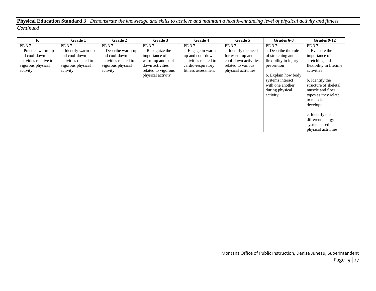# **Physical Education Standard 3** *Demonstrate the knowledge and skills to achieve and maintain a health-enhancing level of physical activity and fitness*

| K                      | <b>Grade 1</b>        | <b>Grade 2</b>        | Grade 3             | <b>Grade 4</b>        | Grade 5              | Grades 6-8            | Grades 9-12             |
|------------------------|-----------------------|-----------------------|---------------------|-----------------------|----------------------|-----------------------|-------------------------|
| PE 3.7                 | PE 3.7                | PE 3.7                | PE 3.7              | PE 3.7                | PE 3.7               | PE 3.7                | PE 3.7                  |
| a. Practice warm-up    | a. Identify warm-up   | a. Describe warm-up   | a. Recognize the    | a. Engage in warm-    | a. Identify the need | a. Describe the role  | a. Evaluate the         |
| and cool-down          | and cool-down         | and cool-down         | importance of       | up and cool-down      | for warm-up and      | of stretching and     | importance of           |
| activities relative to | activities related to | activities related to | warm-up and cool-   | activities related to | cool-down activities | flexibility in injury | stretching and          |
| vigorous physical      | vigorous physical     | vigorous physical     | down activities     | cardio-respiratory    | related to various   | prevention            | flexibility in lifetime |
| activity               | activity              | activity              | related to vigorous | fitness assessment    | physical activities  |                       | activities              |
|                        |                       |                       | physical activity   |                       |                      | b. Explain how body   |                         |
|                        |                       |                       |                     |                       |                      | systems interact      | b. Identify the         |
|                        |                       |                       |                     |                       |                      | with one another      | structure of skeletal   |
|                        |                       |                       |                     |                       |                      | during physical       | muscle and fiber        |
|                        |                       |                       |                     |                       |                      | activity              | types as they relate    |
|                        |                       |                       |                     |                       |                      |                       | to muscle               |
|                        |                       |                       |                     |                       |                      |                       | development             |
|                        |                       |                       |                     |                       |                      |                       |                         |
|                        |                       |                       |                     |                       |                      |                       | c. Identify the         |
|                        |                       |                       |                     |                       |                      |                       | different energy        |
|                        |                       |                       |                     |                       |                      |                       | systems used in         |
|                        |                       |                       |                     |                       |                      |                       | physical activities     |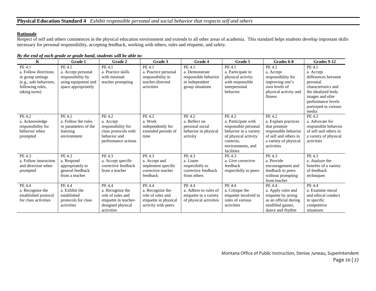## **Rationale**

Respect of self and others commences in the physical education environment and extends to all other areas of academia. This standard helps students develop important skills necessary for personal responsibility, accepting feedback, working with others, rules and etiquette, and safety.

| $\mathbf K$                                                                                                        | Grade 1                                                                                         | Grade 2                                                                                                     | Grade 3                                                                                         | Grade 4                                                                                | Grade 5                                                                                                                                                | Grades 6-8                                                                                                                             | Grades 9-12                                                                                                                                                                    |
|--------------------------------------------------------------------------------------------------------------------|-------------------------------------------------------------------------------------------------|-------------------------------------------------------------------------------------------------------------|-------------------------------------------------------------------------------------------------|----------------------------------------------------------------------------------------|--------------------------------------------------------------------------------------------------------------------------------------------------------|----------------------------------------------------------------------------------------------------------------------------------------|--------------------------------------------------------------------------------------------------------------------------------------------------------------------------------|
| PE 4.1<br>a. Follow directions<br>in group settings<br>(e.g., safe behaviors,<br>following rules,<br>taking turns) | PE 4.1<br>a. Accept personal<br>responsibility by<br>using equipment and<br>space appropriately | PE 4.1<br>a. Practice skills<br>with minimal<br>teacher prompting                                           | PE 4.1<br>a. Practice personal<br>responsibility in<br>teacher-directed<br>activities           | PE 4.1<br>a. Demonstrate<br>responsible behavior<br>in independent<br>group situations | PE 4.1<br>a. Participate in<br>physical activity<br>with responsible<br>interpersonal<br>behavior                                                      | PE 4.1<br>a. Accept<br>responsibility for<br>improving one's<br>own levels of<br>physical activity and<br>fitness                      | PE 4.1<br>a. Accept<br>differences between<br>personal<br>characteristics and<br>the idealized body<br>images and elite<br>performance levels<br>portrayed in various<br>media |
| PE 4.2<br>a. Acknowledge<br>responsibility for<br>behavior when<br>prompted                                        | PE 4.2<br>a. Follow the rules<br>or parameters of the<br>learning<br>environment                | PE 4.2<br>a. Accept<br>responsibility for<br>class protocols with<br>behavior and<br>performance actions    | PE 4.2<br>a. Work<br>independently for<br>extended periods of<br>time                           | PE 4.2<br>a. Reflect on<br>personal social<br>behavior in physical<br>activity         | PE 4.2<br>a. Participate with<br>responsible personal<br>behavior in a variety<br>of physical activity<br>contexts.<br>environments, and<br>facilities | PE 4.2<br>a. Explain practices<br>that promote<br>responsible behavior<br>of self and others in<br>a variety of physical<br>activities | PE 4.2<br>a. Advocate for<br>responsible behavior<br>of self and others in<br>a variety of physical<br>activities                                                              |
| PE 4.3<br>a. Follow instruction<br>and direction when<br>prompted                                                  | PE 4.3<br>a. Respond<br>appropriately to<br>general feedback<br>from a teacher                  | PE 4.3<br>a. Accept specific<br>corrective feedback<br>from a teacher                                       | PE 4.3<br>a. Accept and<br>implement specific<br>corrective teacher<br>feedback                 | PE 4.3<br>a. Listen<br>respectfully to<br>corrective feedback<br>from others           | PE 4.3<br>a. Give corrective<br>feedback<br>respectfully to peers                                                                                      | PE 4.3<br>a. Provide<br>encouragement and<br>feedback to peers<br>without prompting<br>from teacher                                    | PE 4.3<br>a. Analyze the<br>benefits of a variety<br>of feedback<br>techniques                                                                                                 |
| PE 4.4<br>a. Recognize the<br>established protocol<br>for class activities                                         | PE 4.4<br>a. Exhibit the<br>established<br>protocols for class<br>activities                    | PE 4.4<br>a. Recognize the<br>role of rules and<br>etiquette in teacher-<br>designed physical<br>activities | PE 4.4<br>a. Recognize the<br>role of rules and<br>etiquette in physical<br>activity with peers | PE 4.4<br>a. Adhere to rules of<br>etiquette in a variety<br>of physical activities    | PE 4.4<br>a. Critique the<br>etiquette involved in<br>rules of various<br>activities                                                                   | $\overline{PE}$ 4.4<br>a. Apply rules and<br>etiquette by acting<br>as an official during<br>modified games,<br>dance and rhythm       | PE 4.4<br>a. Examine moral<br>and ethical conduct<br>in specific<br>competitive<br>situations                                                                                  |

*By the end of each grade or grade band, students will be able to:*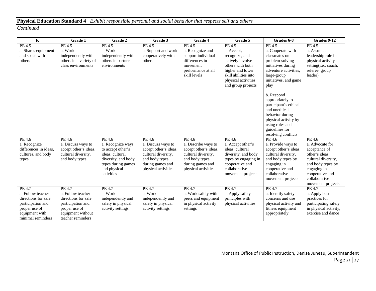# **Physical Education Standard 4** *Exhibit responsible personal and social behavior that respects self and others*

| $\overline{\mathbf{K}}$               | Grade 1                                     | Grade 2                                | Grade 3                                     | Grade 4                                      | Grade 5                              | Grades 6-8                                  | Grades 9-12                      |
|---------------------------------------|---------------------------------------------|----------------------------------------|---------------------------------------------|----------------------------------------------|--------------------------------------|---------------------------------------------|----------------------------------|
| PE 4.5                                | PE 4.5                                      | PE 4.5                                 | PE 4.5                                      | PE 4.5                                       | PE 4.5                               | PE 4.5                                      | PE 4.5                           |
| a. Shares equipment                   | a. Work                                     | a. Work                                | a. Support and work                         | a. Recognize and                             | a. Accept,                           | a. Cooperate with                           | a. Assume a                      |
| and space with                        | independently with                          | independently with                     | cooperatively with                          | support individual                           | recognize, and                       | classmates on                               | leadership role in a             |
| others                                | others in a variety of                      | others in partner                      | others                                      | differences in                               | actively involve                     | problem-solving                             | physical activity                |
|                                       | class environments                          | environments                           |                                             | movement                                     | others with both                     | initiatives during                          | setting(i.e., coach,             |
|                                       |                                             |                                        |                                             | performance at all                           | higher and lower                     | adventure activities.                       | referee, group                   |
|                                       |                                             |                                        |                                             | skill levels                                 | skill abilities into                 | large-group                                 | leader)                          |
|                                       |                                             |                                        |                                             |                                              | physical activities                  | initiatives, and game                       |                                  |
|                                       |                                             |                                        |                                             |                                              | and group projects                   | play                                        |                                  |
|                                       |                                             |                                        |                                             |                                              |                                      | b. Respond                                  |                                  |
|                                       |                                             |                                        |                                             |                                              |                                      | appropriately to                            |                                  |
|                                       |                                             |                                        |                                             |                                              |                                      | participant's ethical                       |                                  |
|                                       |                                             |                                        |                                             |                                              |                                      | and unethical                               |                                  |
|                                       |                                             |                                        |                                             |                                              |                                      | behavior during                             |                                  |
|                                       |                                             |                                        |                                             |                                              |                                      | physical activity by                        |                                  |
|                                       |                                             |                                        |                                             |                                              |                                      | using roles and                             |                                  |
|                                       |                                             |                                        |                                             |                                              |                                      | guidelines for                              |                                  |
|                                       |                                             |                                        |                                             |                                              |                                      | resolving conflicts                         |                                  |
| PE 4.6                                | PE 4.6                                      | PE 4.6                                 | PE 4.6                                      | PE 4.6                                       | PE 4.6                               | PE 4.6                                      | PE 4.6                           |
| a. Recognize<br>differences in ideas. | a. Discuss ways to<br>accept other's ideas, | a. Recognize ways<br>to accept other's | a. Discuss ways to<br>accept other's ideas, | a. Describe ways to<br>accept other's ideas, | a. Accept other's<br>ideas, cultural | a. Provide ways to<br>accept other's ideas, | a. Advocate for<br>acceptance of |
| cultures, and body                    | cultural diversity,                         | ideas, cultural                        | cultural diversity,                         | cultural diversity,                          | diversity, and body                  | cultural diversity,                         | other's ideas,                   |
| types                                 | and body types                              | diversity, and body                    | and body types                              | and body types                               | types by engaging in                 | and body types by                           | cultural diversity,              |
|                                       |                                             | types during games                     | during games and                            | during games and                             | cooperative and                      | engaging in                                 | and body types by                |
|                                       |                                             | and physical                           | physical activities                         | physical activities                          | collaborative                        | cooperative and                             | engaging in                      |
|                                       |                                             | activities                             |                                             |                                              | movement projects                    | collaborative                               | cooperative and                  |
|                                       |                                             |                                        |                                             |                                              |                                      | movement projects                           | collaborative                    |
|                                       |                                             |                                        |                                             |                                              |                                      |                                             | movement projects                |
| PE 4.7                                | PE 4.7                                      | <b>PE 4.7</b>                          | PE 4.7                                      | PE 4.7                                       | PE 4.7                               | <b>PE 4.7</b>                               | <b>PE 4.7</b>                    |
| a. Follow teacher                     | a. Follow teacher                           | a. Work                                | a. Work                                     | a. Work safely with                          | a. Apply safety                      | a. Identify safety                          | a. Apply best                    |
| directions for safe                   | directions for safe                         | independently and                      | independently and                           | peers and equipment                          | principles with                      | concerns and use                            | practices for                    |
| participation and                     | participation and                           | safely in physical                     | safely in physical                          | in physical activity                         | physical activities                  | physical activity and                       | participating safely             |
| proper use of                         | proper use of                               | activity settings                      | activity settings                           | settings                                     |                                      | fitness equipment                           | in physical activity,            |
| equipment with                        | equipment without                           |                                        |                                             |                                              |                                      | appropriately                               | exercise and dance               |
| minimal reminders                     | teacher reminders                           |                                        |                                             |                                              |                                      |                                             |                                  |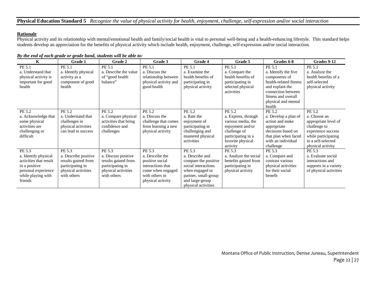## **Physical Education Standard 5** *Recognize the value of physical activity for health, enjoyment, challenge, self-expression and/or social interaction*

## **Rationale**

Physical activity and its relationship with mental/emotional health and family/social health is vital to personal well-being and a health-enhancing lifestyle. This standard helps students develop an appreciation for the benefits of physical activity which include health, enjoyment, challenge, self-expression and/or social interaction.

| $\mathbf K$                                                                                                                       | Grade 1                                                                                                         | Grade 2                                                                                                        | Grade 3                                                                                                                       | Grade 4                                                                                                                                                       | Grade 5                                                                                                                                        | Grades 6-8                                                                                                                                                                 | Grades 9-12                                                                                                                                            |
|-----------------------------------------------------------------------------------------------------------------------------------|-----------------------------------------------------------------------------------------------------------------|----------------------------------------------------------------------------------------------------------------|-------------------------------------------------------------------------------------------------------------------------------|---------------------------------------------------------------------------------------------------------------------------------------------------------------|------------------------------------------------------------------------------------------------------------------------------------------------|----------------------------------------------------------------------------------------------------------------------------------------------------------------------------|--------------------------------------------------------------------------------------------------------------------------------------------------------|
| PE 5.1<br>a. Understand that<br>physical activity is<br>important for good<br>health                                              | PE 5.1<br>a. Identify physical<br>activity as a<br>component of good<br>health                                  | PE 5.1<br>a. Describe the value<br>of "good health"<br>balance"                                                | PE 5.1<br>a. Discuss the<br>relationship between<br>physical activity and<br>good health                                      | PE 5.1<br>a. Examine the<br>health benefits of<br>participating in<br>physical activity                                                                       | PE 5.1<br>a. Compare the<br>health benefits of<br>participating in<br>selected physical<br>activities                                          | PE 5.1<br>a. Identify the five<br>components of<br>health-related fitness<br>and explain the<br>connection between<br>fitness and overall<br>physical and mental<br>health | PE 5.1<br>a. Analyze the<br>health benefits of a<br>self-selected<br>physical activity                                                                 |
| PE 5.2<br>a. Acknowledge that<br>some physical<br>activities are<br>challenging or<br>difficult                                   | PE 5.2<br>a. Understand that<br>challenges in<br>physical activities<br>can lead to success                     | PE 5.2<br>a. Compare physical<br>activities that bring<br>confidence and<br>challenges                         | PE 5.2<br>a. Discuss the<br>challenge that comes<br>from learning a new<br>physical activity                                  | PE 5.2<br>a. Rate the<br>enjoyment of<br>participating in<br>challenging and<br>mastered physical<br>activities                                               | PE 5.2<br>a. Express, through<br>various media, the<br>enjoyment and/or<br>challenge of<br>participating in a<br>favorite physical<br>activity | PE 5.2<br>a. Develop a plan of<br>action and make<br>appropriate<br>decisions based on<br>that plan when faced<br>with an individual<br>challenge                          | PE 5.2<br>a. Choose an<br>appropriate level of<br>challenge to<br>experience success<br>while participating<br>in a self-selected<br>physical activity |
| PE 5.3<br>a. Identify physical<br>activities that result<br>in a positive<br>personal experience<br>while playing with<br>friends | PE 5.3<br>a. Describe positive<br>results gained from<br>participating in<br>physical activities<br>with others | PE 5.3<br>a. Discuss positive<br>results gained from<br>participating in<br>physical activities<br>with others | PE 5.3<br>a. Describe the<br>positive social<br>interactions that<br>come when engaged<br>with others in<br>physical activity | PE 5.3<br>a. Describe and<br>compare the positive<br>social interactions<br>when engaged in<br>partner, small-group<br>and large-group<br>physical activities | PE 5.3<br>a. Analyze the social<br>benefits gained from<br>participating in<br>physical activity                                               | PE 5.3<br>a. Compare and<br>contrast various<br>physical activities<br>for their social<br>benefit                                                                         | PE 5.3<br>a. Evaluate social<br>interactions and<br>supports in a variety<br>of physical activities                                                    |

*By the end of each grade or grade band, students will be able to:*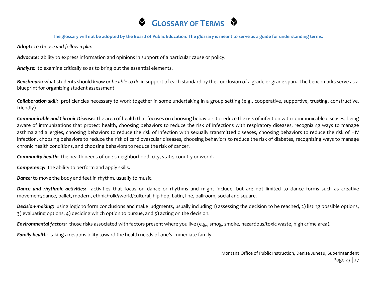# **GLOSSARY OF TERMS &**

## **The glossary will not be adopted by the Board of Public Education. The glossary is meant to serve as a guide for understanding terms.**

*Adopt: to choose and follow a plan*

*Advocate:* ability to express information and opinions in support of a particular cause or policy.

*Analyze:* to examine critically so as to bring out the essential elements.

*Benchmark:* what students should *know or be able to do* in support of each standard by the conclusion of a grade or grade span. The benchmarks serve as a blueprint for organizing student assessment.

*Collaboration skill:* proficiencies necessary to work together in some undertaking in a group setting (e.g., cooperative, supportive, trusting, constructive, friendly).

*Communicable and Chronic Disease:* the area of health that focuses on choosing behaviors to reduce the risk of infection with communicable diseases, being aware of immunizations that protect health, choosing behaviors to reduce the risk of infections with respiratory diseases, recognizing ways to manage asthma and allergies, choosing behaviors to reduce the risk of infection with sexually transmitted diseases, choosing behaviors to reduce the risk of HIV infection, choosing behaviors to reduce the risk of cardiovascular diseases, choosing behaviors to reduce the risk of diabetes, recognizing ways to manage chronic health conditions, and choosing behaviors to reduce the risk of cancer.

*Community health:* the health needs of one's neighborhood, city, state, country or world.

*Competency:* the ability to perform and apply skills.

*Dance:* to move the body and feet in rhythm, usually to music.

*Dance and rhythmic activities:*activities that focus on dance or rhythms and might include, but are not limited to dance forms such as creative movement/dance, ballet, modern, ethnic/folk//world/cultural, hip hop, Latin, line, ballroom, social and square.

*Decision-making:* using logic to form conclusions and make judgments, usually including 1) assessing the decision to be reached, 2) listing possible options, 3) evaluating options, 4) deciding which option to pursue, and 5) acting on the decision.

*Environmental factors:* those risks associated with factors present where you live (e.g., smog, smoke, hazardous/toxic waste, high crime area).

*Family health:* taking a responsibility toward the health needs of one's immediate family.

Montana Office of Public Instruction, Denise Juneau, Superintendent Page 23 | 27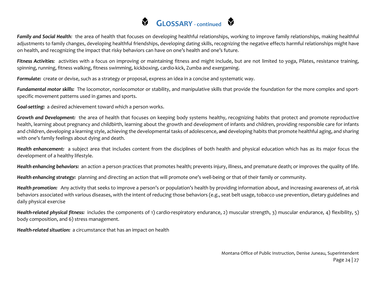# **GLOSSARY** - continued

*Family and Social Health:* the area of health that focuses on developing healthful relationships, working to improve family relationships, making healthful adjustments to family changes, developing healthful friendships, developing dating skills, recognizing the negative effects harmful relationships might have on health, and recognizing the impact that risky behaviors can have on one's health and one's future.

Fitness Activities: activities with a focus on improving or maintaining fitness and might include, but are not limited to yoga, Pilates, resistance training, spinning, running, fitness walking, fitness swimming, kickboxing, cardio-kick, Zumba and exergaming.

*Formulate:* create or devise, such as a strategy or proposal, express an idea in a concise and systematic way.

*Fundamental motor skills:* The locomotor, nonlocomotor or stability, and manipulative skills that provide the foundation for the more complex and sportspecific movement patterns used in games and sports.

*Goal-setting:* a desired achievement toward which a person works.

*Growth and Development:* the area of health that focuses on keeping body systems healthy, recognizing habits that protect and promote reproductive health, learning about pregnancy and childbirth, learning about the growth and development of infants and children, providing responsible care for infants and children, developing a learning style, achieving the developmental tasks of adolescence, and developing habits that promote healthful aging, and sharing with one's family feelings about dying and death.

*Health enhancement:* a subject area that includes content from the disciplines of both health and physical education which has as its major focus the development of a healthy lifestyle.

*Health enhancing behaviors:* an action a person practices that promotes health; prevents injury, illness, and premature death; or improves the quality of life.

*Health enhancing strategy:* planning and directing an action that will promote one's well-being or that of their family or community.

*Health promotion:* Any activity that seeks to improve a person's or population's health by providing information about, and increasing awareness of, at-risk behaviors associated with various diseases, with the intent of reducing those behaviors (e.g., seat belt usage, tobacco use prevention, dietary guidelines and daily physical exercise

*Health-related physical fitness:* includes the components of 1) cardio-respiratory endurance, 2) muscular strength, 3) muscular endurance, 4) flexibility, 5) body composition, and 6) stress management.

*Health-related situation:* a circumstance that has an impact on health

Montana Office of Public Instruction, Denise Juneau, Superintendent Page 24 | 27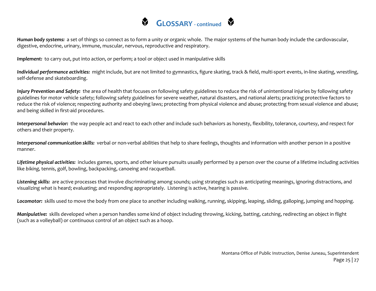

*Human body systems:* a set of things so connect as to form a unity or organic whole. The major systems of the human body include the cardiovascular, digestive, endocrine, urinary, immune, muscular, nervous, reproductive and respiratory.

*Implement:* to carry out, put into action, or perform; a tool or object used in manipulative skills

*Individual performance activities:* might include, but are not limited to gymnastics, figure skating, track & field, multi-sport events, in-line skating, wrestling, self-defense and skateboarding.

*Injury Prevention and Safety:* the area of health that focuses on following safety guidelines to reduce the risk of unintentional injuries by following safety guidelines for motor vehicle safety; following safety guidelines for severe weather, natural disasters, and national alerts; practicing protective factors to reduce the risk of violence; respecting authority and obeying laws; protecting from physical violence and abuse; protecting from sexual violence and abuse; and being skilled in first-aid procedures.

*Interpersonal behavior:* the way people act and react to each other and include such behaviors as honesty, flexibility, tolerance, courtesy, and respect for others and their property.

*Interpersonal communication skills:* verbal or non-verbal abilities that help to share feelings, thoughts and information with another person in a positive manner.

*Lifetime physical activities:* includes games, sports, and other leisure pursuits usually performed by a person over the course of a lifetime including activities like *biking,* tennis, golf, bowling, backpacking, canoeing and racquetball.

Listening skills: are active processes that involve discriminating among sounds; using strategies such as anticipating meanings, ignoring distractions, and visualizing what is heard; evaluating; and responding appropriately. Listening is active, hearing is passive.

*Locomotor:* skills used to move the body from one place to another including walking, running, skipping, leaping, sliding, galloping, jumping and hopping.

*Manipulative:* skills developed when a person handles some kind of object including throwing, kicking, batting, catching, redirecting an object in flight (such as a volleyball) or continuous control of an object such as a hoop.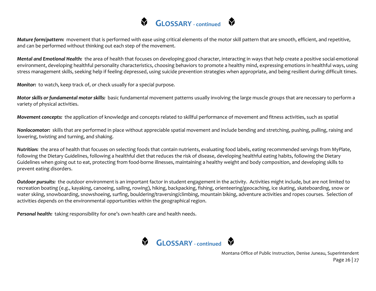

*Mature form/pattern:* movement that is performed with ease using critical elements of the motor skill pattern that are smooth, efficient, and repetitive, and can be performed without thinking out each step of the movement.

*Mental and Emotional Health:* the area of health that focuses on developing good character, interacting in ways that help create a positive social-emotional environment, developing healthful personality characteristics, choosing behaviors to promote a healthy mind, expressing emotions in healthful ways, using stress management skills, seeking help if feeling depressed, using suicide prevention strategies when appropriate, and being resilient during difficult times.

*Monitor:* to watch, keep track of, or check usually for a special purpose.

*Motor skills or fundamental motor skills:* basic fundamental movement patterns usually involving the large muscle groups that are necessary to perform a variety of physical activities.

*Movement concepts:* the application of knowledge and concepts related to skillful performance of movement and fitness activities, such as spatial

*Nonlocomotor:* skills that are performed in place without appreciable spatial movement and include bending and stretching, pushing, pulling, raising and lowering, twisting and turning, and shaking.

*Nutrition:* the area of health that focuses on selecting foods that contain nutrients, evaluating food labels, eating recommended servings from MyPlate, following the Dietary Guidelines, following a healthful diet that reduces the risk of disease, developing healthful eating habits, following the Dietary Guidelines when going out to eat, protecting from food-borne illnesses, maintaining a healthy weight and body composition, and developing skills to prevent eating disorders.

*Outdoor pursuits:* the outdoor environment is an important factor in student engagement in the activity. Activities might include, but are not limited to recreation boating (e.g., kayaking, canoeing, sailing, rowing), hiking, backpacking, fishing, orienteering/geocaching, ice skating, skateboarding, snow or water skiing, snowboarding, snowshoeing, surfing, bouldering/traversing/climbing, mountain biking, adventure activities and ropes courses. Selection of activities depends on the environmental opportunities within the geographical region.

*Personal health:* taking responsibility for one's own health care and health needs.



Montana Office of Public Instruction, Denise Juneau, Superintendent Page 26 | 27